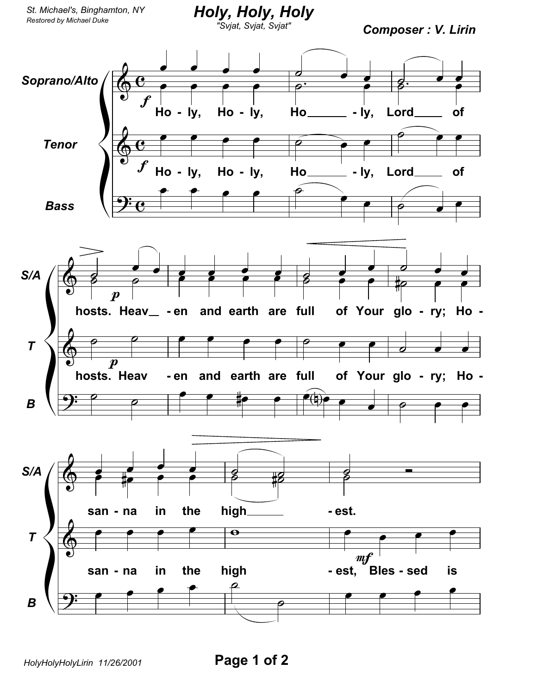